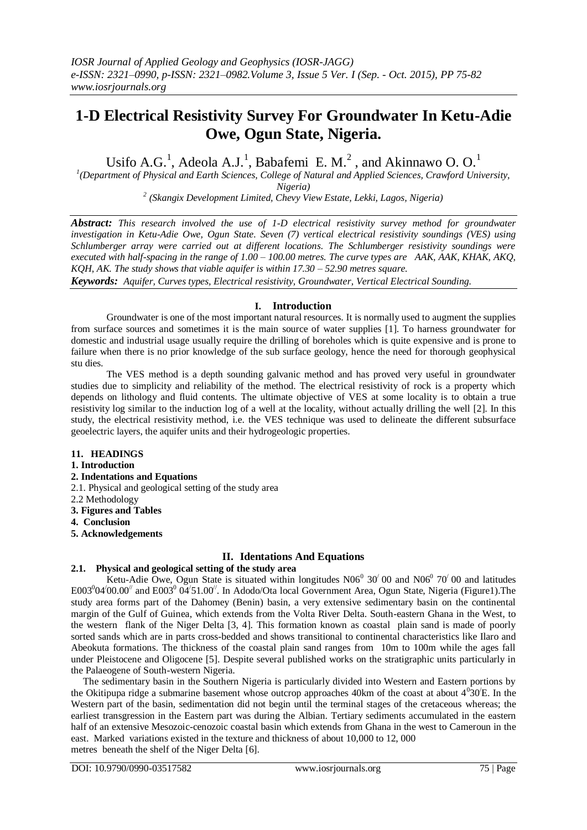# **1-D Electrical Resistivity Survey For Groundwater In Ketu-Adie Owe, Ogun State, Nigeria.**

Usifo A.G.<sup>1</sup>, Adeola A.J.<sup>1</sup>, Babafemi E. M.<sup>2</sup>, and Akinnawo O. O.<sup>1</sup>

*1 (Department of Physical and Earth Sciences, College of Natural and Applied Sciences, Crawford University, Nigeria)*

*2 (Skangix Development Limited, Chevy View Estate, Lekki, Lagos, Nigeria)*

*Abstract: This research involved the use of 1-D electrical resistivity survey method for groundwater investigation in Ketu-Adie Owe, Ogun State. Seven (7) vertical electrical resistivity soundings (VES) using Schlumberger array were carried out at different locations. The Schlumberger resistivity soundings were executed with half-spacing in the range of 1.00 – 100.00 metres. The curve types are AAK, AAK, KHAK, AKQ, KQH, AK. The study shows that viable aquifer is within 17.30 – 52.90 metres square.*

*Keywords: Aquifer, Curves types, Electrical resistivity, Groundwater, Vertical Electrical Sounding.*

# **I. Introduction**

Groundwater is one of the most important natural resources. It is normally used to augment the supplies from surface sources and sometimes it is the main source of water supplies [1]. To harness groundwater for domestic and industrial usage usually require the drilling of boreholes which is quite expensive and is prone to failure when there is no prior knowledge of the sub surface geology, hence the need for thorough geophysical stu dies.

The VES method is a depth sounding galvanic method and has proved very useful in groundwater studies due to simplicity and reliability of the method. The electrical resistivity of rock is a property which depends on lithology and fluid contents. The ultimate objective of VES at some locality is to obtain a true resistivity log similar to the induction log of a well at the locality, without actually drilling the well [2]. In this study, the electrical resistivity method, i.e. the VES technique was used to delineate the different subsurface geoelectric layers, the aquifer units and their hydrogeologic properties.

# **11. HEADINGS**

#### **1. Introduction**

- **2. Indentations and Equations**
- 2.1. Physical and geological setting of the study area
- 2.2 Methodology
- **3. Figures and Tables**
- **4. Conclusion**
- **5. Acknowledgements**

# **II. Identations And Equations**

# **2.1. Physical and geological setting of the study area**

Ketu-Adie Owe, Ogun State is situated within longitudes  $N06^{\circ}$  30 $^{\prime}$  00 and  $N06^{\circ}$  70 $^{\prime}$  00 and latitudes E003<sup>0</sup>04/00.00<sup>//</sup> and E003<sup>0</sup> 04/51.00<sup>//</sup>. In Adodo/Ota local Government Area, Ogun State, Nigeria (Figure1). The study area forms part of the Dahomey (Benin) basin, a very extensive sedimentary basin on the continental margin of the Gulf of Guinea, which extends from the Volta River Delta. South-eastern Ghana in the West, to the western flank of the Niger Delta [3, 4]. This formation known as coastal plain sand is made of poorly sorted sands which are in parts cross-bedded and shows transitional to continental characteristics like Ilaro and Abeokuta formations. The thickness of the coastal plain sand ranges from 10m to 100m while the ages fall under Pleistocene and Oligocene [5]. Despite several published works on the stratigraphic units particularly in the Palaeogene of South-western Nigeria.

 The sedimentary basin in the Southern Nigeria is particularly divided into Western and Eastern portions by the Okitipupa ridge a submarine basement whose outcrop approaches 40km of the coast at about  $4^030'E$ . In the Western part of the basin, sedimentation did not begin until the terminal stages of the cretaceous whereas; the earliest transgression in the Eastern part was during the Albian. Tertiary sediments accumulated in the eastern half of an extensive Mesozoic-cenozoic coastal basin which extends from Ghana in the west to Cameroun in the east. Marked variations existed in the texture and thickness of about 10,000 to 12, 000 metres beneath the shelf of the Niger Delta [6].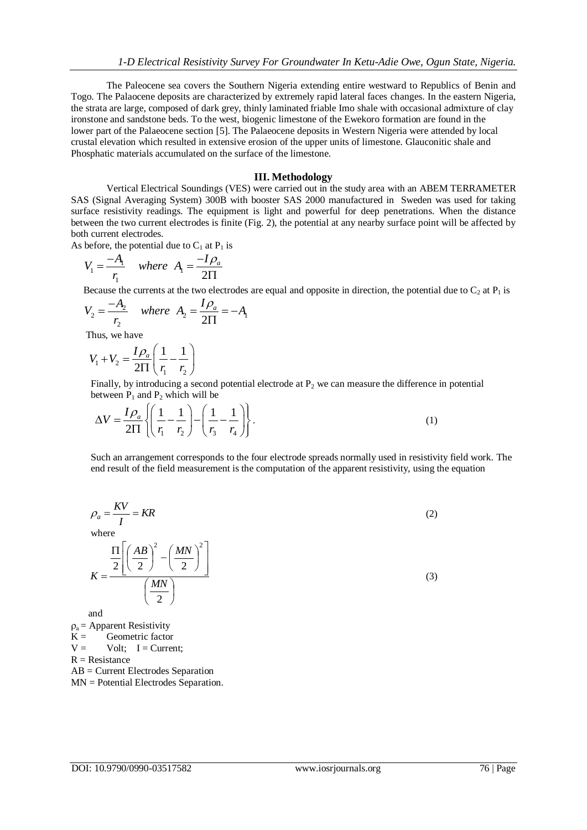The Paleocene sea covers the Southern Nigeria extending entire westward to Republics of Benin and Togo. The Palaocene deposits are characterized by extremely rapid lateral faces changes. In the eastern Nigeria, the strata are large, composed of dark grey, thinly laminated friable Imo shale with occasional admixture of clay ironstone and sandstone beds. To the west, biogenic limestone of the Ewekoro formation are found in the lower part of the Palaeocene section [5]. The Palaeocene deposits in Western Nigeria were attended by local crustal elevation which resulted in extensive erosion of the upper units of limestone. Glauconitic shale and Phosphatic materials accumulated on the surface of the limestone.

#### **III. Methodology**

Vertical Electrical Soundings (VES) were carried out in the study area with an ABEM TERRAMETER SAS (Signal Averaging System) 300B with booster SAS 2000 manufactured in Sweden was used for taking surface resistivity readings. The equipment is light and powerful for deep penetrations. When the distance between the two current electrodes is finite (Fig. 2), the potential at any nearby surface point will be affected by both current electrodes.

As before, the potential due to  $C_1$  at  $P_1$  is

$$
V_1 = \frac{-A_1}{r_1} \quad \text{where} \quad A_1 = \frac{-I \rho_a}{2\Pi}
$$

Because the currents at the two electrodes are equal and opposite in direction, the potential due to C<sub>2</sub> at P<sub>1</sub> is  $V_2 = \frac{-A_2}{\nu}$  where  $A_2 = \frac{I \rho_a}{2H} = -A_1$ 

$$
V_2 = \frac{-A_2}{r_2} \quad \text{where} \quad A_2 = \frac{I \rho_a}{2\Pi} = -A_1
$$

Thus, we have

$$
V_1 + V_2 = \frac{I\rho_a}{2\Pi} \left(\frac{1}{r_1} - \frac{1}{r_2}\right)
$$

Finally, by introducing a second potential electrode at  $P<sub>2</sub>$  we can measure the difference in potential

between P<sub>1</sub> and P<sub>2</sub> which will be  
\n
$$
\Delta V = \frac{I \rho_a}{2\Pi} \left\{ \left( \frac{1}{r_1} - \frac{1}{r_2} \right) - \left( \frac{1}{r_3} - \frac{1}{r_4} \right) \right\}.
$$
\n(1)

 Such an arrangement corresponds to the four electrode spreads normally used in resistivity field work. The end result of the field measurement is the computation of the apparent resistivity, using the equation

$$
\rho_a = \frac{KV}{I} = KR
$$
\nwhere\n
$$
\frac{\Pi}{2} \left[ \left( \frac{AB}{2} \right)^2 - \left( \frac{MN}{2} \right)^2 \right]
$$
\n
$$
K = \frac{\left( MN \right)}{\left( \frac{MN}{2} \right)}
$$
\n(3)

and

 $\rho_a$  = Apparent Resistivity  $K =$  Geometric factor  $V =$  Volt; I = Current;  $R =$  Resistance AB = Current Electrodes Separation MN = Potential Electrodes Separation.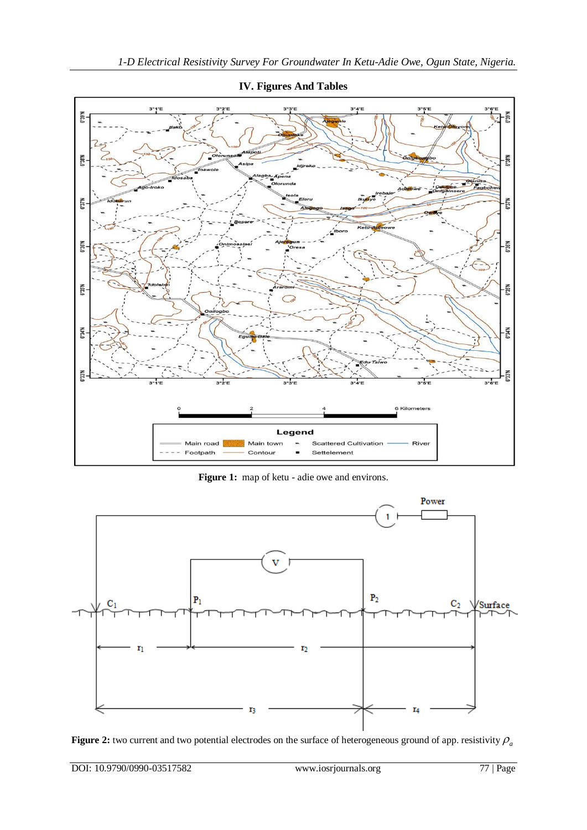

**IV. Figures And Tables**

**Figure 1:** map of ketu - adie owe and environs.



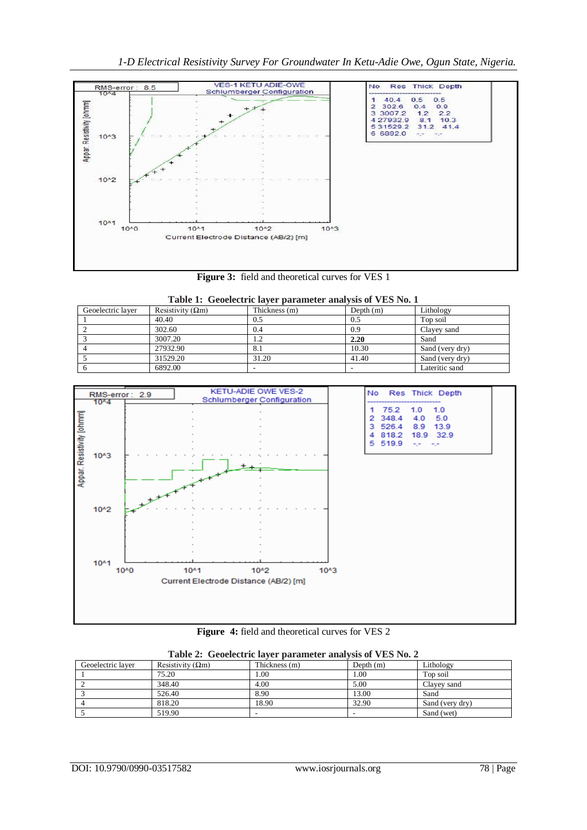

**Figure 3:** field and theoretical curves for VES 1

| Table 1: Geoelectric layer parameter analysis of VES No. 1 |  |  |
|------------------------------------------------------------|--|--|
|                                                            |  |  |

| Geoelectric laver | Resistivity $(\Omega m)$ | Thickness (m) | Depth $(m)$ | Lithology       |
|-------------------|--------------------------|---------------|-------------|-----------------|
|                   | 40.40                    | 0.5           | 0.5         | Top soil        |
|                   | 302.60                   | 0.4           | 0.9         | Clayey sand     |
|                   | 3007.20                  |               | 2.20        | Sand            |
|                   | 27932.90                 | 8.1           | 10.30       | Sand (very dry) |
|                   | 31529.20                 | 31.20         | 41.40       | Sand (very dry) |
|                   | 6892.00                  |               | -           | Lateritic sand  |



**Figure 4:** field and theoretical curves for VES 2

| Table 2: Geoelectric laver parameter analysis of VES No. 2 |                          |               |             |                 |  |  |
|------------------------------------------------------------|--------------------------|---------------|-------------|-----------------|--|--|
| Geoelectric laver                                          | Resistivity $(\Omega m)$ | Thickness (m) | Depth $(m)$ | Lithology       |  |  |
|                                                            | 75.20                    | .00           | 1.00        | Top soil        |  |  |
|                                                            | 348.40                   | 4.00          | 5.00        | Clavey sand     |  |  |
|                                                            | 526.40                   | 8.90          | 13.00       | Sand            |  |  |
|                                                            | 818.20                   | 18.90         | 32.90       | Sand (very dry) |  |  |
|                                                            | 519.90                   |               |             | Sand (wet)      |  |  |

|  |  | Table 2: Geoelectric layer parameter analysis of VES No. 2 |  |  |
|--|--|------------------------------------------------------------|--|--|
|--|--|------------------------------------------------------------|--|--|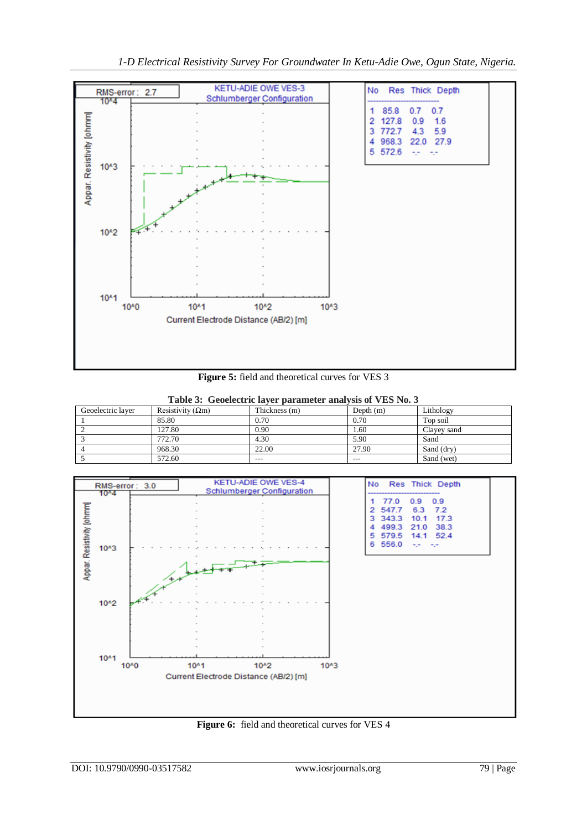

**Figure 5:** field and theoretical curves for VES 3

| Table 3: Geoelectric layer parameter analysis of VES No. 3 |                           |               |             |             |  |  |
|------------------------------------------------------------|---------------------------|---------------|-------------|-------------|--|--|
| Geoelectric layer                                          | Resistivity ( $\Omega$ m) | Thickness (m) | Depth $(m)$ | Lithology   |  |  |
|                                                            | 85.80                     | 0.70          | 0.70        | Top soil    |  |  |
|                                                            | 127.80                    | 0.90          | 1.60        | Clayey sand |  |  |
|                                                            | 772.70                    | 4.30          | 5.90        | Sand        |  |  |
|                                                            | 968.30                    | 22.00         | 27.90       | Sand (dry)  |  |  |
|                                                            | 572.60                    | ---           | ---         | Sand (wet)  |  |  |





**Figure 6:** field and theoretical curves for VES 4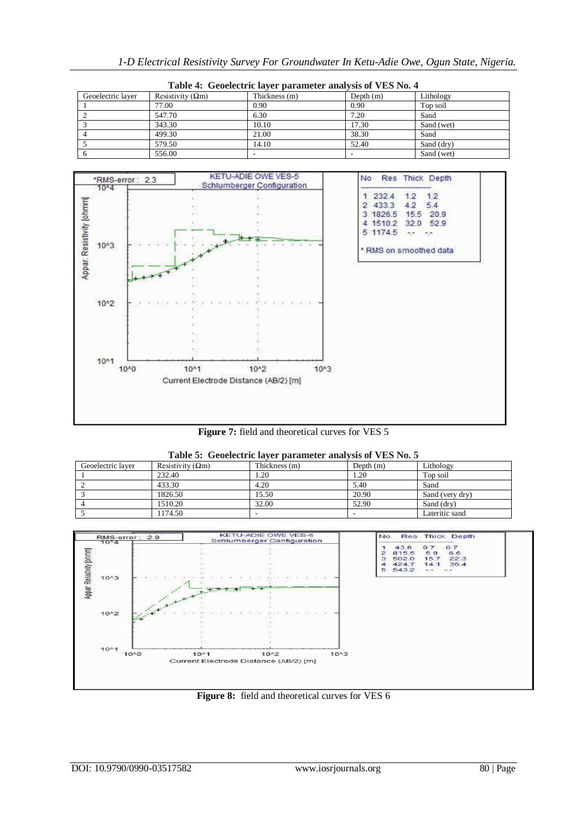| 1-D Electrical Resistivity Survey For Groundwater In Ketu-Adie Owe, Ogun State, Nigeria. |  |  |
|------------------------------------------------------------------------------------------|--|--|
|------------------------------------------------------------------------------------------|--|--|

| Table 4: Geoelectric layer parameter analysis of VES No. 4 |                           |               |             |            |  |  |
|------------------------------------------------------------|---------------------------|---------------|-------------|------------|--|--|
| Geoelectric laver                                          | Resistivity ( $\Omega$ m) | Thickness (m) | Depth $(m)$ | Lithology  |  |  |
|                                                            | 77.00                     | 0.90          | 0.90        | Top soil   |  |  |
|                                                            | 547.70                    | 6.30          | 7.20        | Sand       |  |  |
|                                                            | 343.30                    | 10.10         | 17.30       | Sand (wet) |  |  |
|                                                            | 499.30                    | 21.00         | 38.30       | Sand       |  |  |
|                                                            | 579.50                    | 14.10         | 52.40       | Sand (dry) |  |  |
|                                                            | 556.00                    |               |             | Sand (wet) |  |  |



|  |  | <b>Figure 7:</b> field and theoretical curves for VES 5 |  |  |
|--|--|---------------------------------------------------------|--|--|
|--|--|---------------------------------------------------------|--|--|

| Table 5: Geoelectric layer parameter analysis of VES No. 5 |                          |               |             |                 |  |  |
|------------------------------------------------------------|--------------------------|---------------|-------------|-----------------|--|--|
| Geoelectric laver                                          | Resistivity $(\Omega m)$ | Thickness (m) | Depth $(m)$ | Lithology       |  |  |
|                                                            | 232.40                   | 1.20          | 1.20        | Top soil        |  |  |
|                                                            | 433.30                   | 4.20          | 5.40        | Sand            |  |  |
|                                                            | 1826.50                  | 15.50         | 20.90       | Sand (very dry) |  |  |
|                                                            | 1510.20                  | 32.00         | 52.90       | Sand (dry)      |  |  |
|                                                            | 1174.50                  |               |             | Lateritic sand  |  |  |



# **Figure 8:** field and theoretical curves for VES 6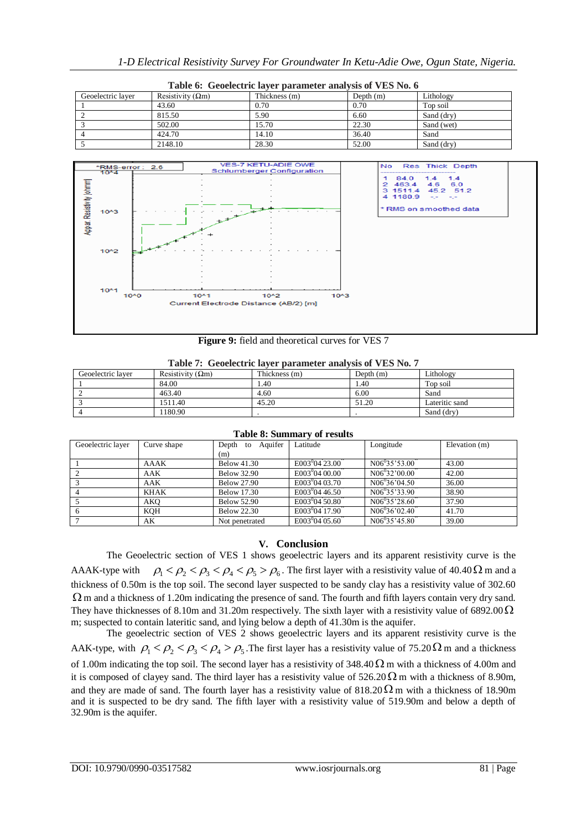| Table 6: Geoelectric layer parameter analysis of VES No. 6 |                           |               |             |            |  |  |
|------------------------------------------------------------|---------------------------|---------------|-------------|------------|--|--|
| Geoelectric laver                                          | Resistivity ( $\Omega$ m) | Thickness (m) | Depth $(m)$ | Lithology  |  |  |
|                                                            | 43.60                     | 0.70          | 0.70        | Top soil   |  |  |
|                                                            | 815.50                    | 5.90          | 6.60        | Sand (dry) |  |  |
|                                                            | 502.00                    | 15.70         | 22.30       | Sand (wet) |  |  |
|                                                            | 424.70                    | 14.10         | 36.40       | Sand       |  |  |
|                                                            | 2148.10                   | 28.30         | 52.00       | Sand (drv) |  |  |



**Figure 9:** field and theoretical curves for VES 7

|  | Table 7: Geoelectric layer parameter analysis of VES No. 7 |  |  |  |  |  |
|--|------------------------------------------------------------|--|--|--|--|--|
|--|------------------------------------------------------------|--|--|--|--|--|

| Geoelectric laver | Resistivity $(\Omega m)$ | Thickness (m) | Depth $(m)$ | Lithology      |
|-------------------|--------------------------|---------------|-------------|----------------|
|                   | 84.00                    | 1.40          | . 40        | Top soil       |
|                   | 463.40                   | 4.60          | 6.00        | Sand           |
|                   | 1511.40                  | 45.20         | 51.20       | Lateritic sand |
|                   | 180.90                   |               |             | Sand (drv)     |

| Tuole of Dummut, of Febules |             |                        |                            |                    |               |
|-----------------------------|-------------|------------------------|----------------------------|--------------------|---------------|
| Geoelectric layer           | Curve shape | Aquifer<br>Depth<br>to | Latitude                   | Longitude          | Elevation (m) |
|                             |             | (m)                    |                            |                    |               |
|                             | AAAK        | <b>Below 41.30</b>     | $E003^{0}04^{2}3.00$       | $N06^{0}35'53.00'$ | 43.00         |
|                             | AAK         | <b>Below 32.90</b>     | $E003^{0}04[00.00]$        | $N06^{0}32'00.00'$ | 42.00         |
|                             | AAK         | <b>Below 27.90</b>     | $E003^{0}04[03.70]$        | $N06^{0}36'04.50'$ | 36.00         |
|                             | KHAK        | <b>Below 17.30</b>     | $E003^{0}04^{2}46.50^{4}$  | $N06^{0}35'33.90'$ | 38.90         |
|                             | AKO         | <b>Below 52.90</b>     | $E003^{0}04'50.80'$        | $N06^{0}35'28.60'$ | 37.90         |
|                             | KQH         | <b>Below 22.30</b>     | E003 <sup>0</sup> 04 17.90 | $N06^{0}36'02.40'$ | 41.70         |
|                             | АK          | Not penetrated         | $E003^{0}04(05.60)$        | $N06^{0}35'45.80'$ | 39.00         |

# **Table 8: Summary of results**

# **V. Conclusion**

The Geoelectric section of VES 1 shows geoelectric layers and its apparent resistivity curve is the AAAK-type with The section of VES 1 shows geoelectric layers and its apparent resistivity curve is the  $\rho_1 < \rho_2 < \rho_3 < \rho_4 < \rho_5 > \rho_6$ . The first layer with a resistivity value of 40.40  $\Omega$  m and a thickness of 0.50m is the top soil. The second layer suspected to be sandy clay has a resistivity value of 302.60  $\Omega$  m and a thickness of 1.20m indicating the presence of sand. The fourth and fifth layers contain very dry sand. They have thicknesses of 8.10m and 31.20m respectively. The sixth layer with a resistivity value of 6892.00  $\Omega$ m; suspected to contain lateritic sand, and lying below a depth of 41.30m is the aquifer.

The geoelectric section of VES 2 shows geoelectric layers and its apparent resistivity curve is the AAK-type, with  $\rho_1 < \rho_2 < \rho_3 < \rho_4 > \rho_5$ . The first layer has a resistivity value of 75.20  $\Omega$  m and a thickness of 1.00m indicating the top soil. The second layer has a resistivity of 348.40  $\Omega$  m with a thickness of 4.00m and it is composed of clayey sand. The third layer has a resistivity value of  $526.20 \Omega$  m with a thickness of 8.90m, and they are made of sand. The fourth layer has a resistivity value of  $818.20 \Omega$  m with a thickness of 18.90m and it is suspected to be dry sand. The fifth layer with a resistivity value of 519.90m and below a depth of 32.90m is the aquifer.